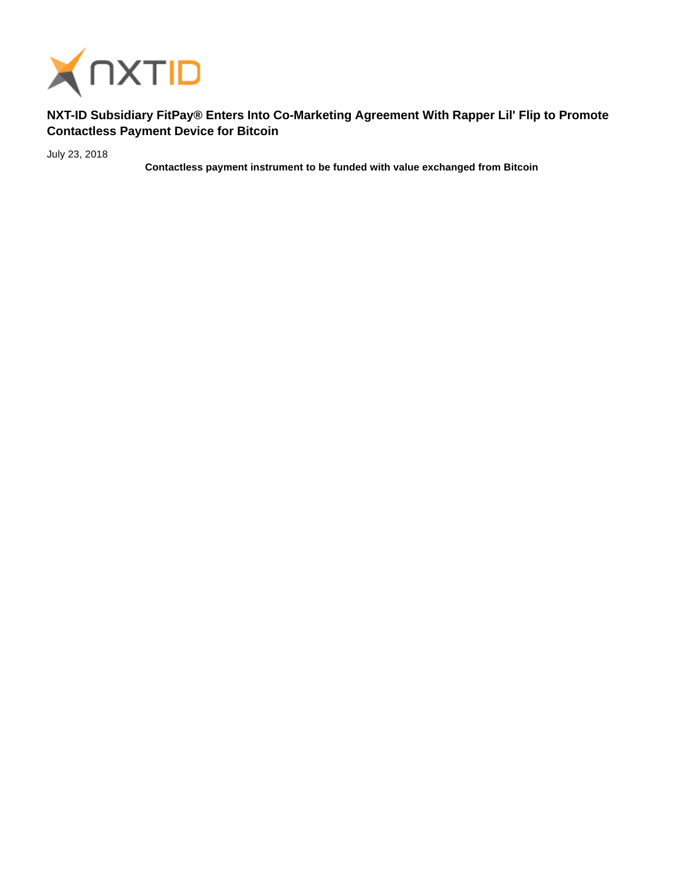

## **NXT-ID Subsidiary FitPay® Enters Into Co-Marketing Agreement With Rapper Lil' Flip to Promote Contactless Payment Device for Bitcoin**

July 23, 2018

**Contactless payment instrument to be funded with value exchanged from Bitcoin**